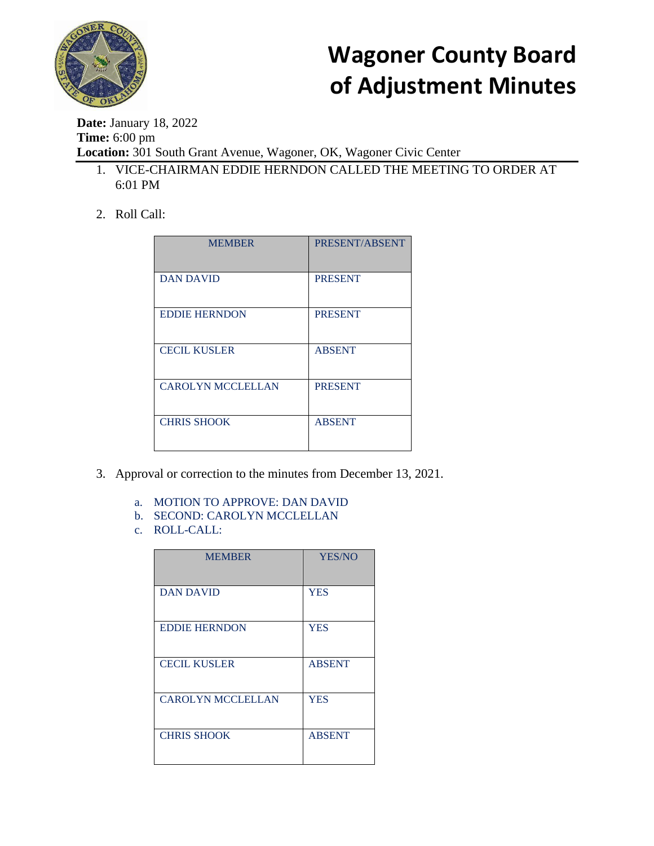

**Date:** January 18, 2022 **Time:** 6:00 pm **Location:** 301 South Grant Avenue, Wagoner, OK, Wagoner Civic Center

- 1. VICE-CHAIRMAN EDDIE HERNDON CALLED THE MEETING TO ORDER AT 6:01 PM
- 2. Roll Call:

| <b>MEMBER</b>            | PRESENT/ABSENT |
|--------------------------|----------------|
| <b>DAN DAVID</b>         | <b>PRESENT</b> |
| <b>EDDIE HERNDON</b>     | <b>PRESENT</b> |
| <b>CECIL KUSLER</b>      | <b>ABSENT</b>  |
| <b>CAROLYN MCCLELLAN</b> | <b>PRESENT</b> |
| <b>CHRIS SHOOK</b>       | <b>ABSENT</b>  |

- 3. Approval or correction to the minutes from December 13, 2021.
	- a. MOTION TO APPROVE: DAN DAVID
	- b. SECOND: CAROLYN MCCLELLAN
	- c. ROLL-CALL:

| <b>MEMBER</b>            | <b>YES/NO</b> |
|--------------------------|---------------|
| <b>DAN DAVID</b>         | <b>YES</b>    |
| <b>EDDIE HERNDON</b>     | <b>YES</b>    |
| <b>CECIL KUSLER</b>      | <b>ABSENT</b> |
| <b>CAROLYN MCCLELLAN</b> | <b>YES</b>    |
| <b>CHRIS SHOOK</b>       | <b>ABSENT</b> |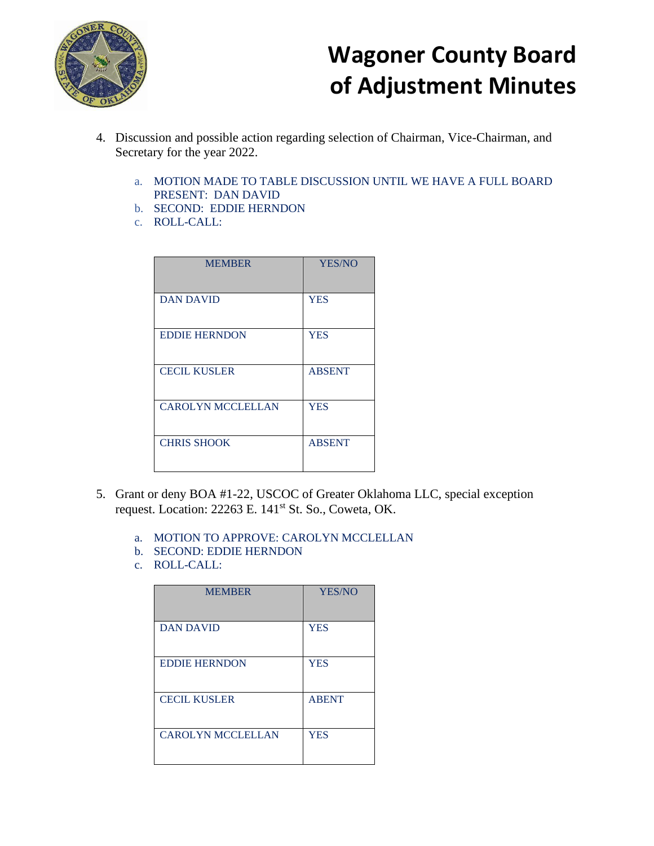

- 4. Discussion and possible action regarding selection of Chairman, Vice-Chairman, and Secretary for the year 2022.
	- a. MOTION MADE TO TABLE DISCUSSION UNTIL WE HAVE A FULL BOARD PRESENT: DAN DAVID
	- b. SECOND: EDDIE HERNDON
	- c. ROLL-CALL:

| <b>MEMBER</b>            | <b>YES/NO</b> |
|--------------------------|---------------|
| <b>DAN DAVID</b>         | <b>YES</b>    |
| <b>EDDIE HERNDON</b>     | <b>YES</b>    |
| <b>CECIL KUSLER</b>      | <b>ABSENT</b> |
| <b>CAROLYN MCCLELLAN</b> | <b>YES</b>    |
| <b>CHRIS SHOOK</b>       | <b>ABSENT</b> |

- 5. Grant or deny BOA #1-22, USCOC of Greater Oklahoma LLC, special exception request. Location: 22263 E. 141<sup>st</sup> St. So., Coweta, OK.
	- a. MOTION TO APPROVE: CAROLYN MCCLELLAN
	- b. SECOND: EDDIE HERNDON
	- c. ROLL-CALL:

| <b>MEMBER</b>            | <b>YES/NO</b> |
|--------------------------|---------------|
| <b>DAN DAVID</b>         | <b>YES</b>    |
| <b>EDDIE HERNDON</b>     | <b>YES</b>    |
| <b>CECIL KUSLER</b>      | <b>ABENT</b>  |
| <b>CAROLYN MCCLELLAN</b> | <b>YES</b>    |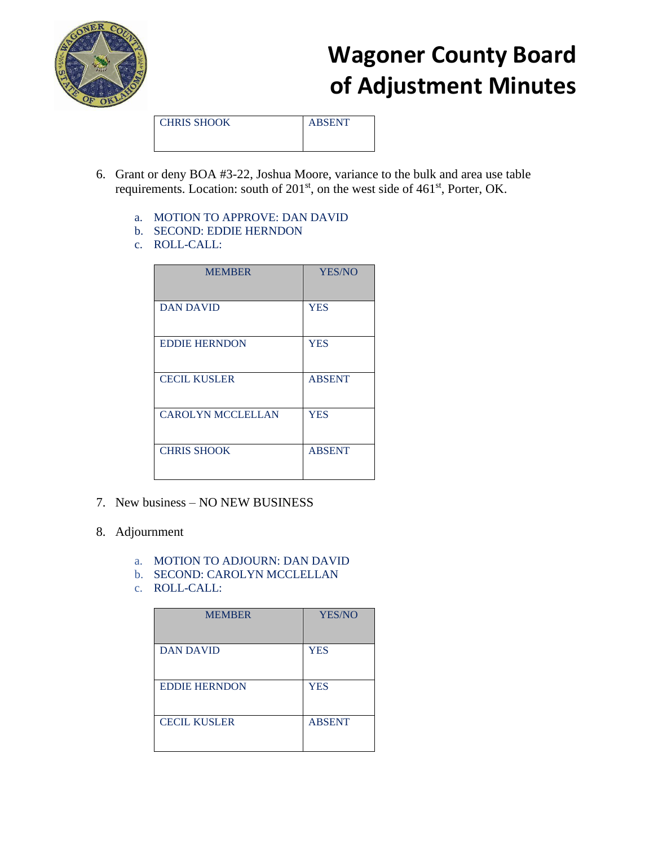

CHRIS SHOOK ABSENT

- 
- 6. Grant or deny BOA #3-22, Joshua Moore, variance to the bulk and area use table requirements. Location: south of  $201<sup>st</sup>$ , on the west side of  $461<sup>st</sup>$ , Porter, OK.
	- a. MOTION TO APPROVE: DAN DAVID
	- b. SECOND: EDDIE HERNDON
	- c. ROLL-CALL:

| <b>MEMBER</b>            | YES/NO        |
|--------------------------|---------------|
|                          |               |
| <b>DAN DAVID</b>         | <b>YES</b>    |
| <b>EDDIE HERNDON</b>     | <b>YES</b>    |
| <b>CECIL KUSLER</b>      | <b>ABSENT</b> |
| <b>CAROLYN MCCLELLAN</b> | <b>YES</b>    |
| <b>CHRIS SHOOK</b>       | <b>ABSENT</b> |

- 7. New business NO NEW BUSINESS
- 8. Adjournment
	- a. MOTION TO ADJOURN: DAN DAVID
	- b. SECOND: CAROLYN MCCLELLAN
	- c. ROLL-CALL:

| <b>MEMBER</b>        | <b>YES/NO</b> |
|----------------------|---------------|
| <b>DAN DAVID</b>     | <b>YES</b>    |
| <b>EDDIE HERNDON</b> | <b>YES</b>    |
| <b>CECIL KUSLER</b>  | <b>ABSENT</b> |